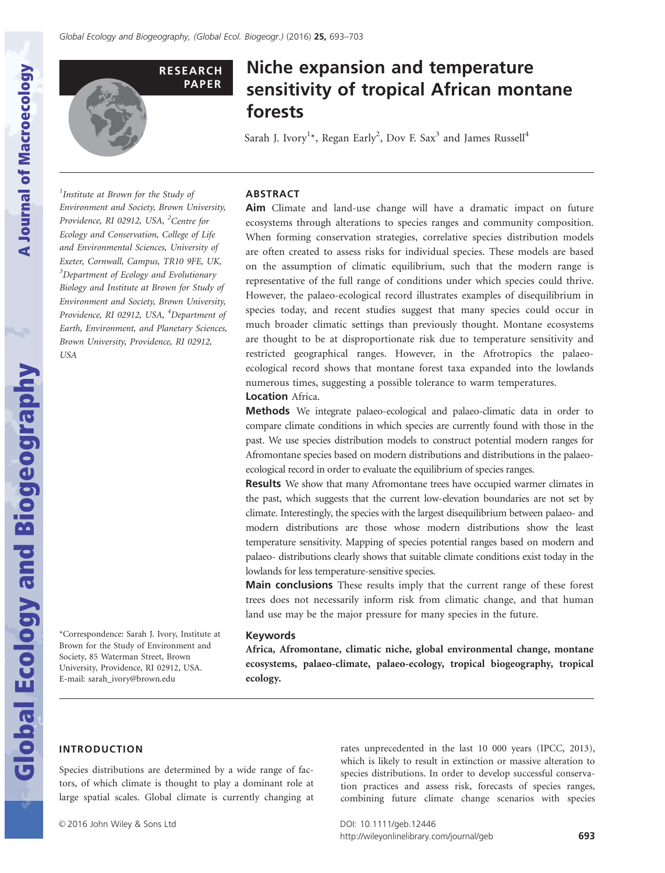

# Niche expansion and temperature sensitivity of tropical African montane forests

Sarah J. Ivory<sup>1</sup>\*, Regan Early<sup>2</sup>, Dov F. Sax<sup>3</sup> and James Russell<sup>4</sup>

<sup>1</sup>Institute at Brown for the Study of Environment and Society, Brown University, Providence, RI 02912, USA, <sup>2</sup>Centre for Ecology and Conservation, College of Life and Environmental Sciences, University of Exeter, Cornwall, Campus, TR10 9FE, UK, <sup>3</sup>Department of Ecology and Evolutionary Biology and Institute at Brown for Study of Environment and Society, Brown University, Providence, RI 02912, USA, <sup>4</sup>Department of Earth, Environment, and Planetary Sciences, Brown University, Providence, RI 02912, USA

## ABSTRACT

Aim Climate and land-use change will have a dramatic impact on future ecosystems through alterations to species ranges and community composition. When forming conservation strategies, correlative species distribution models are often created to assess risks for individual species. These models are based on the assumption of climatic equilibrium, such that the modern range is representative of the full range of conditions under which species could thrive. However, the palaeo-ecological record illustrates examples of disequilibrium in species today, and recent studies suggest that many species could occur in much broader climatic settings than previously thought. Montane ecosystems are thought to be at disproportionate risk due to temperature sensitivity and restricted geographical ranges. However, in the Afrotropics the palaeoecological record shows that montane forest taxa expanded into the lowlands numerous times, suggesting a possible tolerance to warm temperatures.

## **Location** Africa.

Methods We integrate palaeo-ecological and palaeo-climatic data in order to compare climate conditions in which species are currently found with those in the past. We use species distribution models to construct potential modern ranges for Afromontane species based on modern distributions and distributions in the palaeoecological record in order to evaluate the equilibrium of species ranges.

**Results** We show that many Afromontane trees have occupied warmer climates in the past, which suggests that the current low-elevation boundaries are not set by climate. Interestingly, the species with the largest disequilibrium between palaeo- and modern distributions are those whose modern distributions show the least temperature sensitivity. Mapping of species potential ranges based on modern and palaeo- distributions clearly shows that suitable climate conditions exist today in the lowlands for less temperature-sensitive species.

Main conclusions These results imply that the current range of these forest trees does not necessarily inform risk from climatic change, and that human land use may be the major pressure for many species in the future.

#### Keywords

Africa, Afromontane, climatic niche, global environmental change, montane ecosystems, palaeo-climate, palaeo-ecology, tropical biogeography, tropical ecology.

## INTRODUCTION

\*Correspondence: Sarah J. Ivory, Institute at Brown for the Study of Environment and Society, 85 Waterman Street, Brown University, Providence, RI 02912, USA. E-mail: sarah\_ivory@brown.edu

Species distributions are determined by a wide range of factors, of which climate is thought to play a dominant role at large spatial scales. Global climate is currently changing at

**A Journal of Macroecology**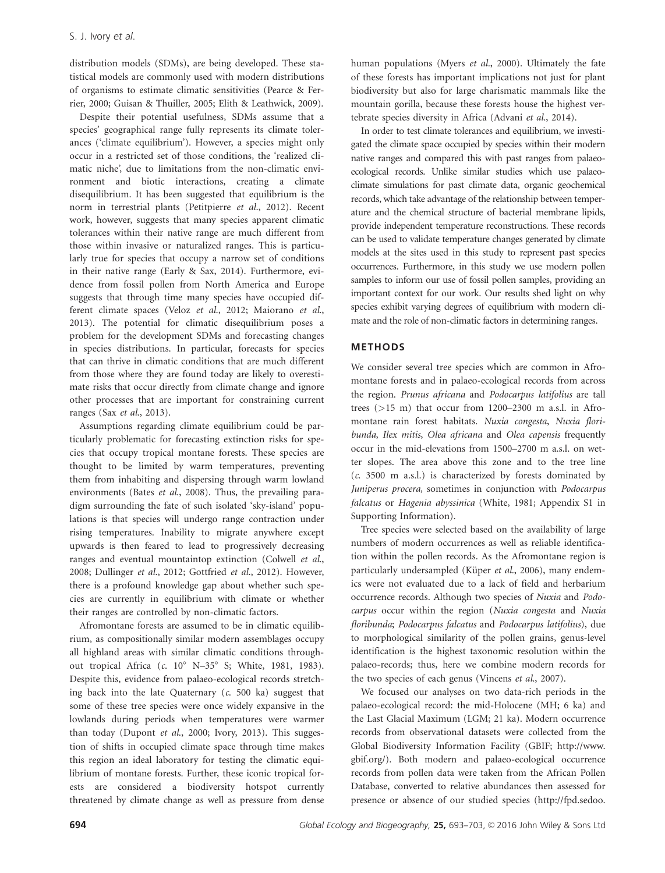distribution models (SDMs), are being developed. These statistical models are commonly used with modern distributions of organisms to estimate climatic sensitivities (Pearce & Ferrier, 2000; Guisan & Thuiller, 2005; Elith & Leathwick, 2009).

Despite their potential usefulness, SDMs assume that a species' geographical range fully represents its climate tolerances ('climate equilibrium'). However, a species might only occur in a restricted set of those conditions, the 'realized climatic niche', due to limitations from the non-climatic environment and biotic interactions, creating a climate disequilibrium. It has been suggested that equilibrium is the norm in terrestrial plants (Petitpierre et al., 2012). Recent work, however, suggests that many species apparent climatic tolerances within their native range are much different from those within invasive or naturalized ranges. This is particularly true for species that occupy a narrow set of conditions in their native range (Early & Sax, 2014). Furthermore, evidence from fossil pollen from North America and Europe suggests that through time many species have occupied different climate spaces (Veloz et al., 2012; Maiorano et al., 2013). The potential for climatic disequilibrium poses a problem for the development SDMs and forecasting changes in species distributions. In particular, forecasts for species that can thrive in climatic conditions that are much different from those where they are found today are likely to overestimate risks that occur directly from climate change and ignore other processes that are important for constraining current ranges (Sax et al., 2013).

Assumptions regarding climate equilibrium could be particularly problematic for forecasting extinction risks for species that occupy tropical montane forests. These species are thought to be limited by warm temperatures, preventing them from inhabiting and dispersing through warm lowland environments (Bates et al., 2008). Thus, the prevailing paradigm surrounding the fate of such isolated 'sky-island' populations is that species will undergo range contraction under rising temperatures. Inability to migrate anywhere except upwards is then feared to lead to progressively decreasing ranges and eventual mountaintop extinction (Colwell et al., 2008; Dullinger et al., 2012; Gottfried et al., 2012). However, there is a profound knowledge gap about whether such species are currently in equilibrium with climate or whether their ranges are controlled by non-climatic factors.

Afromontane forests are assumed to be in climatic equilibrium, as compositionally similar modern assemblages occupy all highland areas with similar climatic conditions throughout tropical Africa (c. 10° N–35° S; White, 1981, 1983). Despite this, evidence from palaeo-ecological records stretching back into the late Quaternary  $(c. 500 \text{ ka})$  suggest that some of these tree species were once widely expansive in the lowlands during periods when temperatures were warmer than today (Dupont et al., 2000; Ivory, 2013). This suggestion of shifts in occupied climate space through time makes this region an ideal laboratory for testing the climatic equilibrium of montane forests. Further, these iconic tropical forests are considered a biodiversity hotspot currently threatened by climate change as well as pressure from dense human populations (Myers et al., 2000). Ultimately the fate of these forests has important implications not just for plant biodiversity but also for large charismatic mammals like the mountain gorilla, because these forests house the highest vertebrate species diversity in Africa (Advani et al., 2014).

In order to test climate tolerances and equilibrium, we investigated the climate space occupied by species within their modern native ranges and compared this with past ranges from palaeoecological records. Unlike similar studies which use palaeoclimate simulations for past climate data, organic geochemical records, which take advantage of the relationship between temperature and the chemical structure of bacterial membrane lipids, provide independent temperature reconstructions. These records can be used to validate temperature changes generated by climate models at the sites used in this study to represent past species occurrences. Furthermore, in this study we use modern pollen samples to inform our use of fossil pollen samples, providing an important context for our work. Our results shed light on why species exhibit varying degrees of equilibrium with modern climate and the role of non-climatic factors in determining ranges.

## METHODS

We consider several tree species which are common in Afromontane forests and in palaeo-ecological records from across the region. Prunus africana and Podocarpus latifolius are tall trees (>15 m) that occur from 1200–2300 m a.s.l. in Afromontane rain forest habitats. Nuxia congesta, Nuxia floribunda, Ilex mitis, Olea africana and Olea capensis frequently occur in the mid-elevations from 1500–2700 m a.s.l. on wetter slopes. The area above this zone and to the tree line (c. 3500 m a.s.l.) is characterized by forests dominated by Juniperus procera, sometimes in conjunction with Podocarpus falcatus or Hagenia abyssinica (White, 1981; Appendix S1 in Supporting Information).

Tree species were selected based on the availability of large numbers of modern occurrences as well as reliable identification within the pollen records. As the Afromontane region is particularly undersampled (Küper et al., 2006), many endemics were not evaluated due to a lack of field and herbarium occurrence records. Although two species of Nuxia and Podocarpus occur within the region (Nuxia congesta and Nuxia floribunda; Podocarpus falcatus and Podocarpus latifolius), due to morphological similarity of the pollen grains, genus-level identification is the highest taxonomic resolution within the palaeo-records; thus, here we combine modern records for the two species of each genus (Vincens et al., 2007).

We focused our analyses on two data-rich periods in the palaeo-ecological record: the mid-Holocene (MH; 6 ka) and the Last Glacial Maximum (LGM; 21 ka). Modern occurrence records from observational datasets were collected from the Global Biodiversity Information Facility (GBIF; [http://www.](http://www.gbif.org/) [gbif.org/](http://www.gbif.org/)). Both modern and palaeo-ecological occurrence records from pollen data were taken from the African Pollen Database, converted to relative abundances then assessed for presence or absence of our studied species ([http://fpd.sedoo.](http://fpd.sedoo.fr/fpd/)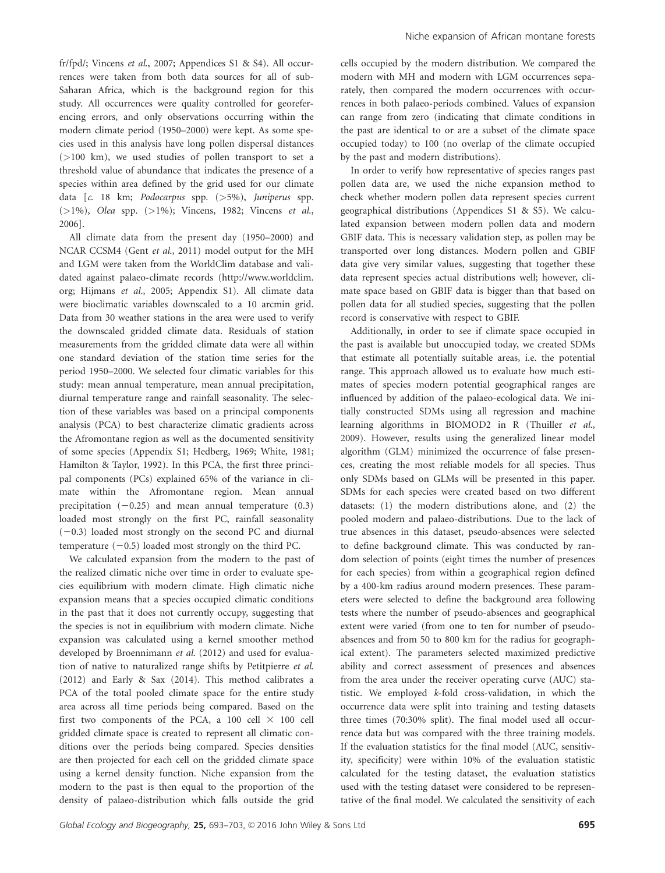[fr/fpd/;](http://fpd.sedoo.fr/fpd/) Vincens et al., 2007; Appendices S1 & S4). All occurrences were taken from both data sources for all of sub-Saharan Africa, which is the background region for this study. All occurrences were quality controlled for georeferencing errors, and only observations occurring within the modern climate period (1950–2000) were kept. As some species used in this analysis have long pollen dispersal distances (>100 km), we used studies of pollen transport to set a threshold value of abundance that indicates the presence of a species within area defined by the grid used for our climate data [c. 18 km; Podocarpus spp. (>5%), Juniperus spp. ( $>1\%$ ), Olea spp. ( $>1\%$ ); Vincens, 1982; Vincens et al., 2006].

All climate data from the present day (1950–2000) and NCAR CCSM4 (Gent et al., 2011) model output for the MH and LGM were taken from the WorldClim database and validated against palaeo-climate records ([http://www.worldclim.](http://www.worldclim.org) [org](http://www.worldclim.org); Hijmans et al., 2005; Appendix S1). All climate data were bioclimatic variables downscaled to a 10 arcmin grid. Data from 30 weather stations in the area were used to verify the downscaled gridded climate data. Residuals of station measurements from the gridded climate data were all within one standard deviation of the station time series for the period 1950–2000. We selected four climatic variables for this study: mean annual temperature, mean annual precipitation, diurnal temperature range and rainfall seasonality. The selection of these variables was based on a principal components analysis (PCA) to best characterize climatic gradients across the Afromontane region as well as the documented sensitivity of some species (Appendix S1; Hedberg, 1969; White, 1981; Hamilton & Taylor, 1992). In this PCA, the first three principal components (PCs) explained 65% of the variance in climate within the Afromontane region. Mean annual precipitation  $(-0.25)$  and mean annual temperature  $(0.3)$ loaded most strongly on the first PC, rainfall seasonality  $(-0.3)$  loaded most strongly on the second PC and diurnal temperature  $(-0.5)$  loaded most strongly on the third PC.

We calculated expansion from the modern to the past of the realized climatic niche over time in order to evaluate species equilibrium with modern climate. High climatic niche expansion means that a species occupied climatic conditions in the past that it does not currently occupy, suggesting that the species is not in equilibrium with modern climate. Niche expansion was calculated using a kernel smoother method developed by Broennimann et al. (2012) and used for evaluation of native to naturalized range shifts by Petitpierre et al. (2012) and Early & Sax (2014). This method calibrates a PCA of the total pooled climate space for the entire study area across all time periods being compared. Based on the first two components of the PCA, a 100 cell  $\times$  100 cell gridded climate space is created to represent all climatic conditions over the periods being compared. Species densities are then projected for each cell on the gridded climate space using a kernel density function. Niche expansion from the modern to the past is then equal to the proportion of the density of palaeo-distribution which falls outside the grid

cells occupied by the modern distribution. We compared the modern with MH and modern with LGM occurrences separately, then compared the modern occurrences with occurrences in both palaeo-periods combined. Values of expansion can range from zero (indicating that climate conditions in the past are identical to or are a subset of the climate space occupied today) to 100 (no overlap of the climate occupied by the past and modern distributions).

In order to verify how representative of species ranges past pollen data are, we used the niche expansion method to check whether modern pollen data represent species current geographical distributions (Appendices S1 & S5). We calculated expansion between modern pollen data and modern GBIF data. This is necessary validation step, as pollen may be transported over long distances. Modern pollen and GBIF data give very similar values, suggesting that together these data represent species actual distributions well; however, climate space based on GBIF data is bigger than that based on pollen data for all studied species, suggesting that the pollen record is conservative with respect to GBIF.

Additionally, in order to see if climate space occupied in the past is available but unoccupied today, we created SDMs that estimate all potentially suitable areas, i.e. the potential range. This approach allowed us to evaluate how much estimates of species modern potential geographical ranges are influenced by addition of the palaeo-ecological data. We initially constructed SDMs using all regression and machine learning algorithms in BIOMOD2 in R (Thuiller et al., 2009). However, results using the generalized linear model algorithm (GLM) minimized the occurrence of false presences, creating the most reliable models for all species. Thus only SDMs based on GLMs will be presented in this paper. SDMs for each species were created based on two different datasets: (1) the modern distributions alone, and (2) the pooled modern and palaeo-distributions. Due to the lack of true absences in this dataset, pseudo-absences were selected to define background climate. This was conducted by random selection of points (eight times the number of presences for each species) from within a geographical region defined by a 400-km radius around modern presences. These parameters were selected to define the background area following tests where the number of pseudo-absences and geographical extent were varied (from one to ten for number of pseudoabsences and from 50 to 800 km for the radius for geographical extent). The parameters selected maximized predictive ability and correct assessment of presences and absences from the area under the receiver operating curve (AUC) statistic. We employed k-fold cross-validation, in which the occurrence data were split into training and testing datasets three times (70:30% split). The final model used all occurrence data but was compared with the three training models. If the evaluation statistics for the final model (AUC, sensitivity, specificity) were within 10% of the evaluation statistic calculated for the testing dataset, the evaluation statistics used with the testing dataset were considered to be representative of the final model. We calculated the sensitivity of each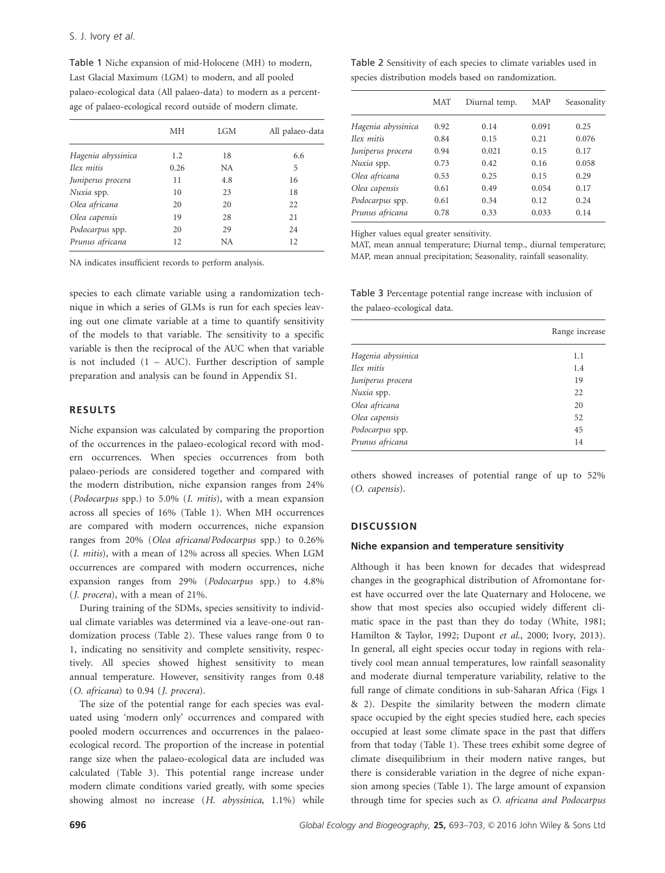Table 1 Niche expansion of mid-Holocene (MH) to modern, Last Glacial Maximum (LGM) to modern, and all pooled palaeo-ecological data (All palaeo-data) to modern as a percentage of palaeo-ecological record outside of modern climate.

|                    | MН   | LGM | All palaeo-data |
|--------------------|------|-----|-----------------|
| Hagenia abyssinica | 1.2  | 18  | 6.6             |
| Ilex mitis         | 0.26 | NA  | 5               |
| Juniperus procera  | 11   | 4.8 | 16              |
| Nuxia spp.         | 10   | 23  | 18              |
| Olea africana      | 20   | 20  | 22              |
| Olea capensis      | 19   | 28  | 21              |
| Podocarpus spp.    | 20   | 29  | 24              |
| Prunus africana    | 12   | NА  | 12              |

NA indicates insufficient records to perform analysis.

species to each climate variable using a randomization technique in which a series of GLMs is run for each species leaving out one climate variable at a time to quantify sensitivity of the models to that variable. The sensitivity to a specific variable is then the reciprocal of the AUC when that variable is not included  $(1 - AUC)$ . Further description of sample preparation and analysis can be found in Appendix S1.

## RESULTS

Niche expansion was calculated by comparing the proportion of the occurrences in the palaeo-ecological record with modern occurrences. When species occurrences from both palaeo-periods are considered together and compared with the modern distribution, niche expansion ranges from 24% (Podocarpus spp.) to 5.0% (I. mitis), with a mean expansion across all species of 16% (Table 1). When MH occurrences are compared with modern occurrences, niche expansion ranges from 20% (Olea africana/Podocarpus spp.) to 0.26% (I. mitis), with a mean of 12% across all species. When LGM occurrences are compared with modern occurrences, niche expansion ranges from 29% (Podocarpus spp.) to 4.8% (J. procera), with a mean of 21%.

During training of the SDMs, species sensitivity to individual climate variables was determined via a leave-one-out randomization process (Table 2). These values range from 0 to 1, indicating no sensitivity and complete sensitivity, respectively. All species showed highest sensitivity to mean annual temperature. However, sensitivity ranges from 0.48 (O. africana) to 0.94 (J. procera).

The size of the potential range for each species was evaluated using 'modern only' occurrences and compared with pooled modern occurrences and occurrences in the palaeoecological record. The proportion of the increase in potential range size when the palaeo-ecological data are included was calculated (Table 3). This potential range increase under modern climate conditions varied greatly, with some species showing almost no increase (H. abyssinica, 1.1%) while

Table 2 Sensitivity of each species to climate variables used in species distribution models based on randomization.

|                    | <b>MAT</b> | Diurnal temp. | MAP   | Seasonality |
|--------------------|------------|---------------|-------|-------------|
| Hagenia abyssinica | 0.92       | 0.14          | 0.091 | 0.25        |
| Ilex mitis         | 0.84       | 0.15          | 0.21  | 0.076       |
| Juniperus procera  | 0.94       | 0.021         | 0.15  | 0.17        |
| Nuxia spp.         | 0.73       | 0.42          | 0.16  | 0.058       |
| Olea africana      | 0.53       | 0.25          | 0.15  | 0.29        |
| Olea capensis      | 0.61       | 0.49          | 0.054 | 0.17        |
| Podocarpus spp.    | 0.61       | 0.34          | 0.12  | 0.24        |
| Prunus africana    | 0.78       | 0.33          | 0.033 | 0.14        |

Higher values equal greater sensitivity.

MAT, mean annual temperature; Diurnal temp., diurnal temperature; MAP, mean annual precipitation; Seasonality, rainfall seasonality.

Table 3 Percentage potential range increase with inclusion of the palaeo-ecological data.

|                    | Range increase |
|--------------------|----------------|
| Hagenia abyssinica | 1.1            |
| Ilex mitis         | 1.4            |
| Juniperus procera  | 19             |
| Nuxia spp.         | 22             |
| Olea africana      | 20             |
| Olea capensis      | 52             |
| Podocarpus spp.    | 45             |
| Prunus africana    | 14             |
|                    |                |

others showed increases of potential range of up to 52% (O. capensis).

## **DISCUSSION**

#### Niche expansion and temperature sensitivity

Although it has been known for decades that widespread changes in the geographical distribution of Afromontane forest have occurred over the late Quaternary and Holocene, we show that most species also occupied widely different climatic space in the past than they do today (White, 1981; Hamilton & Taylor, 1992; Dupont et al., 2000; Ivory, 2013). In general, all eight species occur today in regions with relatively cool mean annual temperatures, low rainfall seasonality and moderate diurnal temperature variability, relative to the full range of climate conditions in sub-Saharan Africa (Figs 1 & 2). Despite the similarity between the modern climate space occupied by the eight species studied here, each species occupied at least some climate space in the past that differs from that today (Table 1). These trees exhibit some degree of climate disequilibrium in their modern native ranges, but there is considerable variation in the degree of niche expansion among species (Table 1). The large amount of expansion through time for species such as O. africana and Podocarpus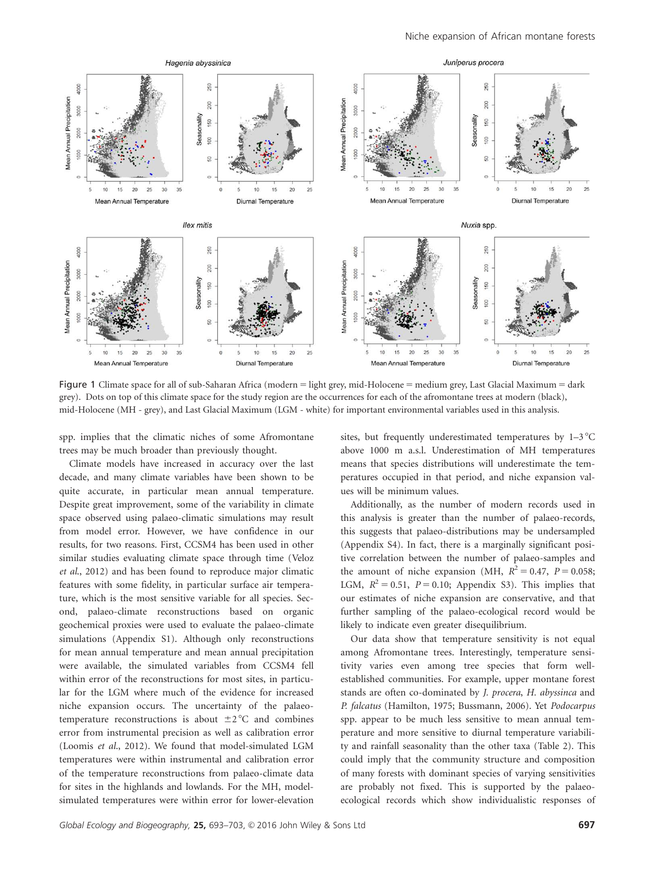

Figure 1 Climate space for all of sub-Saharan Africa (modern = light grey, mid-Holocene = medium grey, Last Glacial Maximum = dark grey). Dots on top of this climate space for the study region are the occurrences for each of the afromontane trees at modern (black), mid-Holocene (MH - grey), and Last Glacial Maximum (LGM - white) for important environmental variables used in this analysis.

spp. implies that the climatic niches of some Afromontane trees may be much broader than previously thought.

Climate models have increased in accuracy over the last decade, and many climate variables have been shown to be quite accurate, in particular mean annual temperature. Despite great improvement, some of the variability in climate space observed using palaeo-climatic simulations may result from model error. However, we have confidence in our results, for two reasons. First, CCSM4 has been used in other similar studies evaluating climate space through time (Veloz et al., 2012) and has been found to reproduce major climatic features with some fidelity, in particular surface air temperature, which is the most sensitive variable for all species. Second, palaeo-climate reconstructions based on organic geochemical proxies were used to evaluate the palaeo-climate simulations (Appendix S1). Although only reconstructions for mean annual temperature and mean annual precipitation were available, the simulated variables from CCSM4 fell within error of the reconstructions for most sites, in particular for the LGM where much of the evidence for increased niche expansion occurs. The uncertainty of the palaeotemperature reconstructions is about  $\pm 2$  °C and combines error from instrumental precision as well as calibration error (Loomis et al., 2012). We found that model-simulated LGM temperatures were within instrumental and calibration error of the temperature reconstructions from palaeo-climate data for sites in the highlands and lowlands. For the MH, modelsimulated temperatures were within error for lower-elevation sites, but frequently underestimated temperatures by  $1-3$  °C above 1000 m a.s.l. Underestimation of MH temperatures means that species distributions will underestimate the temperatures occupied in that period, and niche expansion values will be minimum values.

Additionally, as the number of modern records used in this analysis is greater than the number of palaeo-records, this suggests that palaeo-distributions may be undersampled (Appendix S4). In fact, there is a marginally significant positive correlation between the number of palaeo-samples and the amount of niche expansion (MH,  $R^2 = 0.47$ ,  $P = 0.058$ ; LGM,  $R^2 = 0.51$ ,  $P = 0.10$ ; Appendix S3). This implies that our estimates of niche expansion are conservative, and that further sampling of the palaeo-ecological record would be likely to indicate even greater disequilibrium.

Our data show that temperature sensitivity is not equal among Afromontane trees. Interestingly, temperature sensitivity varies even among tree species that form wellestablished communities. For example, upper montane forest stands are often co-dominated by J. procera, H. abyssinca and P. falcatus (Hamilton, 1975; Bussmann, 2006). Yet Podocarpus spp. appear to be much less sensitive to mean annual temperature and more sensitive to diurnal temperature variability and rainfall seasonality than the other taxa (Table 2). This could imply that the community structure and composition of many forests with dominant species of varying sensitivities are probably not fixed. This is supported by the palaeoecological records which show individualistic responses of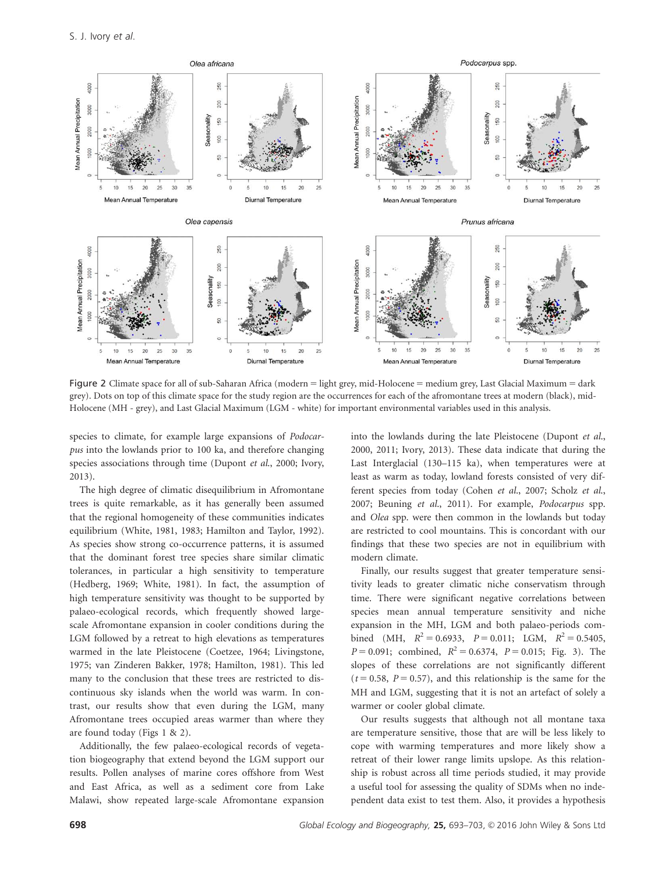

Figure 2 Climate space for all of sub-Saharan Africa (modern = light grey, mid-Holocene = medium grey, Last Glacial Maximum = dark grey). Dots on top of this climate space for the study region are the occurrences for each of the afromontane trees at modern (black), mid-Holocene (MH - grey), and Last Glacial Maximum (LGM - white) for important environmental variables used in this analysis.

species to climate, for example large expansions of Podocarpus into the lowlands prior to 100 ka, and therefore changing species associations through time (Dupont et al., 2000; Ivory, 2013).

The high degree of climatic disequilibrium in Afromontane trees is quite remarkable, as it has generally been assumed that the regional homogeneity of these communities indicates equilibrium (White, 1981, 1983; Hamilton and Taylor, 1992). As species show strong co-occurrence patterns, it is assumed that the dominant forest tree species share similar climatic tolerances, in particular a high sensitivity to temperature (Hedberg, 1969; White, 1981). In fact, the assumption of high temperature sensitivity was thought to be supported by palaeo-ecological records, which frequently showed largescale Afromontane expansion in cooler conditions during the LGM followed by a retreat to high elevations as temperatures warmed in the late Pleistocene (Coetzee, 1964; Livingstone, 1975; van Zinderen Bakker, 1978; Hamilton, 1981). This led many to the conclusion that these trees are restricted to discontinuous sky islands when the world was warm. In contrast, our results show that even during the LGM, many Afromontane trees occupied areas warmer than where they are found today (Figs 1 & 2).

Additionally, the few palaeo-ecological records of vegetation biogeography that extend beyond the LGM support our results. Pollen analyses of marine cores offshore from West and East Africa, as well as a sediment core from Lake Malawi, show repeated large-scale Afromontane expansion into the lowlands during the late Pleistocene (Dupont et al., 2000, 2011; Ivory, 2013). These data indicate that during the Last Interglacial (130–115 ka), when temperatures were at least as warm as today, lowland forests consisted of very different species from today (Cohen et al., 2007; Scholz et al., 2007; Beuning et al., 2011). For example, Podocarpus spp. and Olea spp. were then common in the lowlands but today are restricted to cool mountains. This is concordant with our findings that these two species are not in equilibrium with modern climate.

Finally, our results suggest that greater temperature sensitivity leads to greater climatic niche conservatism through time. There were significant negative correlations between species mean annual temperature sensitivity and niche expansion in the MH, LGM and both palaeo-periods combined (MH,  $R^2 = 0.6933$ ,  $P = 0.011$ ; LGM,  $R^2 = 0.5405$ ,  $P = 0.091$ ; combined,  $R^2 = 0.6374$ ,  $P = 0.015$ ; Fig. 3). The slopes of these correlations are not significantly different  $(t = 0.58, P = 0.57)$ , and this relationship is the same for the MH and LGM, suggesting that it is not an artefact of solely a warmer or cooler global climate.

Our results suggests that although not all montane taxa are temperature sensitive, those that are will be less likely to cope with warming temperatures and more likely show a retreat of their lower range limits upslope. As this relationship is robust across all time periods studied, it may provide a useful tool for assessing the quality of SDMs when no independent data exist to test them. Also, it provides a hypothesis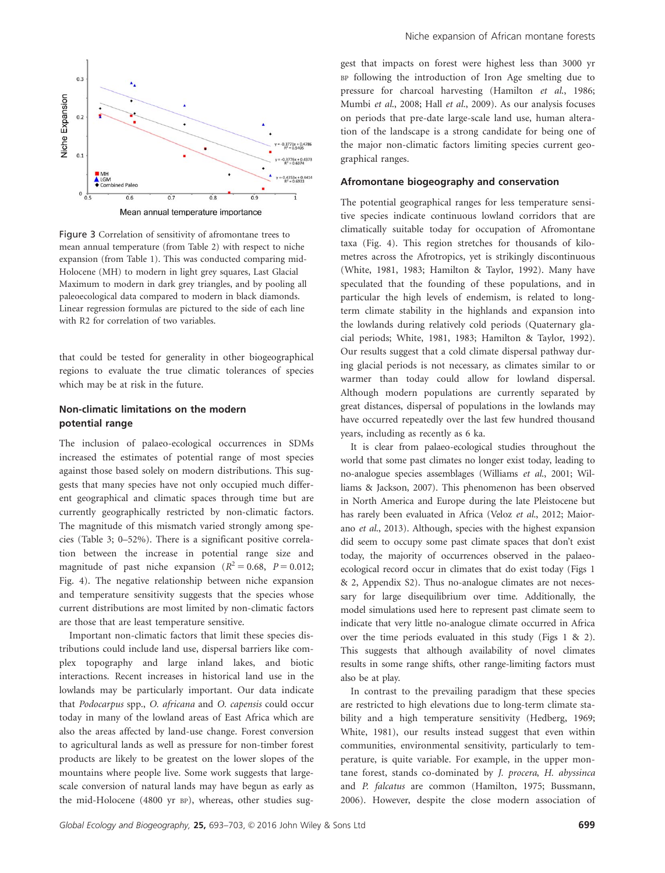

Figure 3 Correlation of sensitivity of afromontane trees to mean annual temperature (from Table 2) with respect to niche expansion (from Table 1). This was conducted comparing mid-Holocene (MH) to modern in light grey squares, Last Glacial Maximum to modern in dark grey triangles, and by pooling all paleoecological data compared to modern in black diamonds. Linear regression formulas are pictured to the side of each line with R2 for correlation of two variables.

that could be tested for generality in other biogeographical regions to evaluate the true climatic tolerances of species which may be at risk in the future.

## Non-climatic limitations on the modern potential range

The inclusion of palaeo-ecological occurrences in SDMs increased the estimates of potential range of most species against those based solely on modern distributions. This suggests that many species have not only occupied much different geographical and climatic spaces through time but are currently geographically restricted by non-climatic factors. The magnitude of this mismatch varied strongly among species (Table 3; 0–52%). There is a significant positive correlation between the increase in potential range size and magnitude of past niche expansion ( $R^2 = 0.68$ ,  $P = 0.012$ ; Fig. 4). The negative relationship between niche expansion and temperature sensitivity suggests that the species whose current distributions are most limited by non-climatic factors are those that are least temperature sensitive.

Important non-climatic factors that limit these species distributions could include land use, dispersal barriers like complex topography and large inland lakes, and biotic interactions. Recent increases in historical land use in the lowlands may be particularly important. Our data indicate that Podocarpus spp., O. africana and O. capensis could occur today in many of the lowland areas of East Africa which are also the areas affected by land-use change. Forest conversion to agricultural lands as well as pressure for non-timber forest products are likely to be greatest on the lower slopes of the mountains where people live. Some work suggests that largescale conversion of natural lands may have begun as early as the mid-Holocene (4800 yr BP), whereas, other studies suggest that impacts on forest were highest less than 3000 yr BP following the introduction of Iron Age smelting due to pressure for charcoal harvesting (Hamilton et al., 1986; Mumbi et al., 2008; Hall et al., 2009). As our analysis focuses on periods that pre-date large-scale land use, human alteration of the landscape is a strong candidate for being one of the major non-climatic factors limiting species current geographical ranges.

#### Afromontane biogeography and conservation

The potential geographical ranges for less temperature sensitive species indicate continuous lowland corridors that are climatically suitable today for occupation of Afromontane taxa (Fig. 4). This region stretches for thousands of kilometres across the Afrotropics, yet is strikingly discontinuous (White, 1981, 1983; Hamilton & Taylor, 1992). Many have speculated that the founding of these populations, and in particular the high levels of endemism, is related to longterm climate stability in the highlands and expansion into the lowlands during relatively cold periods (Quaternary glacial periods; White, 1981, 1983; Hamilton & Taylor, 1992). Our results suggest that a cold climate dispersal pathway during glacial periods is not necessary, as climates similar to or warmer than today could allow for lowland dispersal. Although modern populations are currently separated by great distances, dispersal of populations in the lowlands may have occurred repeatedly over the last few hundred thousand years, including as recently as 6 ka.

It is clear from palaeo-ecological studies throughout the world that some past climates no longer exist today, leading to no-analogue species assemblages (Williams et al., 2001; Williams & Jackson, 2007). This phenomenon has been observed in North America and Europe during the late Pleistocene but has rarely been evaluated in Africa (Veloz et al., 2012; Maiorano et al., 2013). Although, species with the highest expansion did seem to occupy some past climate spaces that don't exist today, the majority of occurrences observed in the palaeoecological record occur in climates that do exist today (Figs 1 & 2, Appendix S2). Thus no-analogue climates are not necessary for large disequilibrium over time. Additionally, the model simulations used here to represent past climate seem to indicate that very little no-analogue climate occurred in Africa over the time periods evaluated in this study (Figs 1 & 2). This suggests that although availability of novel climates results in some range shifts, other range-limiting factors must also be at play.

In contrast to the prevailing paradigm that these species are restricted to high elevations due to long-term climate stability and a high temperature sensitivity (Hedberg, 1969; White, 1981), our results instead suggest that even within communities, environmental sensitivity, particularly to temperature, is quite variable. For example, in the upper montane forest, stands co-dominated by J. procera, H. abyssinca and P. falcatus are common (Hamilton, 1975; Bussmann, 2006). However, despite the close modern association of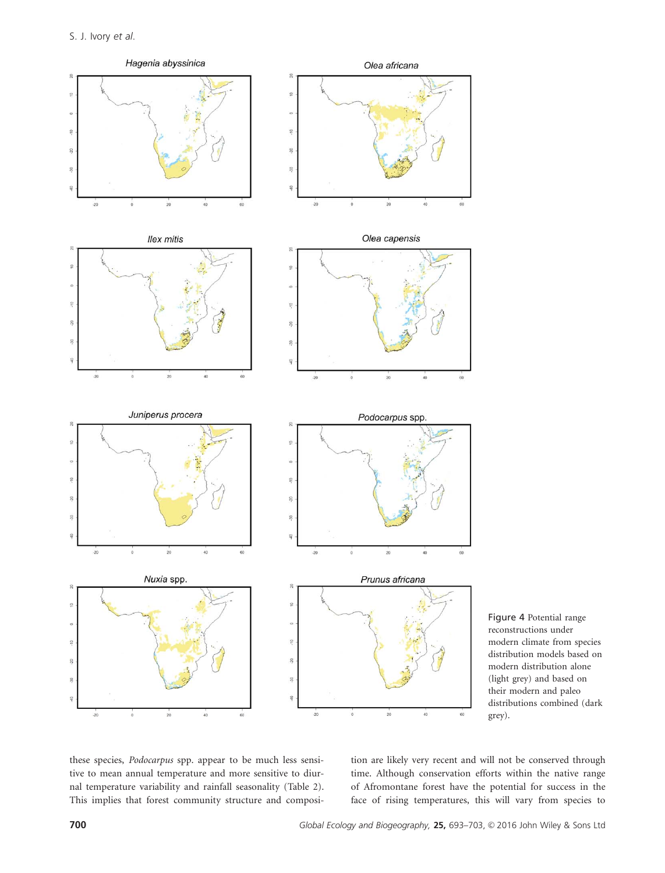

Figure 4 Potential range reconstructions under modern climate from species distribution models based on modern distribution alone (light grey) and based on their modern and paleo distributions combined (dark grey).

these species, Podocarpus spp. appear to be much less sensitive to mean annual temperature and more sensitive to diurnal temperature variability and rainfall seasonality (Table 2). This implies that forest community structure and composi-

tion are likely very recent and will not be conserved through time. Although conservation efforts within the native range of Afromontane forest have the potential for success in the face of rising temperatures, this will vary from species to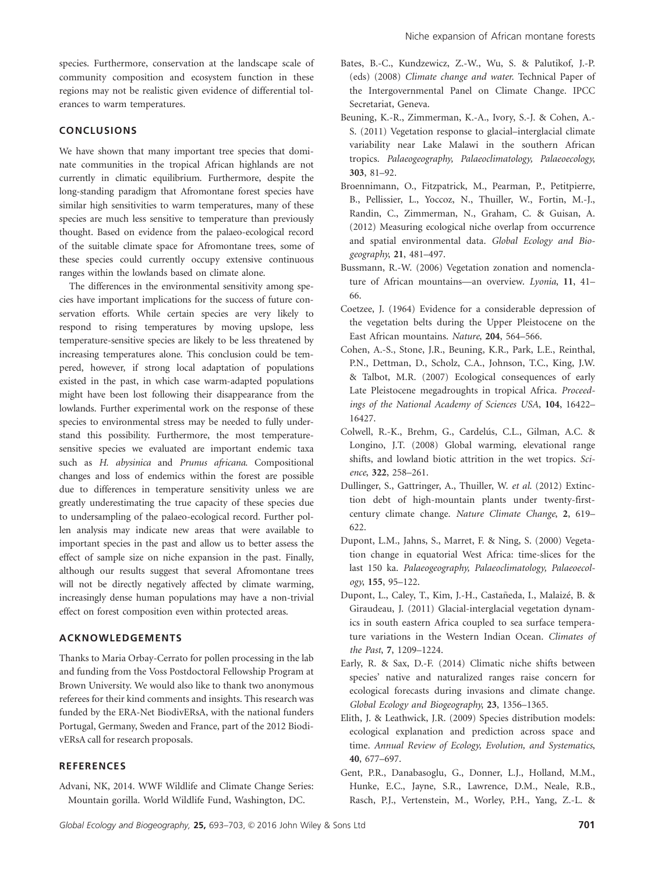species. Furthermore, conservation at the landscape scale of community composition and ecosystem function in these regions may not be realistic given evidence of differential tolerances to warm temperatures.

### **CONCLUSIONS**

We have shown that many important tree species that dominate communities in the tropical African highlands are not currently in climatic equilibrium. Furthermore, despite the long-standing paradigm that Afromontane forest species have similar high sensitivities to warm temperatures, many of these species are much less sensitive to temperature than previously thought. Based on evidence from the palaeo-ecological record of the suitable climate space for Afromontane trees, some of these species could currently occupy extensive continuous ranges within the lowlands based on climate alone.

The differences in the environmental sensitivity among species have important implications for the success of future conservation efforts. While certain species are very likely to respond to rising temperatures by moving upslope, less temperature-sensitive species are likely to be less threatened by increasing temperatures alone. This conclusion could be tempered, however, if strong local adaptation of populations existed in the past, in which case warm-adapted populations might have been lost following their disappearance from the lowlands. Further experimental work on the response of these species to environmental stress may be needed to fully understand this possibility. Furthermore, the most temperaturesensitive species we evaluated are important endemic taxa such as H. abysinica and Prunus africana. Compositional changes and loss of endemics within the forest are possible due to differences in temperature sensitivity unless we are greatly underestimating the true capacity of these species due to undersampling of the palaeo-ecological record. Further pollen analysis may indicate new areas that were available to important species in the past and allow us to better assess the effect of sample size on niche expansion in the past. Finally, although our results suggest that several Afromontane trees will not be directly negatively affected by climate warming, increasingly dense human populations may have a non-trivial effect on forest composition even within protected areas.

## ACKNOWLEDGEMENTS

Thanks to Maria Orbay-Cerrato for pollen processing in the lab and funding from the Voss Postdoctoral Fellowship Program at Brown University. We would also like to thank two anonymous referees for their kind comments and insights. This research was funded by the ERA-Net BiodivERsA, with the national funders Portugal, Germany, Sweden and France, part of the 2012 BiodivERsA call for research proposals.

## **REFERENCES**

Advani, NK, 2014. WWF Wildlife and Climate Change Series: Mountain gorilla. World Wildlife Fund, Washington, DC.

- Bates, B.-C., Kundzewicz, Z.-W., Wu, S. & Palutikof, J.-P. (eds) (2008) Climate change and water. Technical Paper of the Intergovernmental Panel on Climate Change. IPCC Secretariat, Geneva.
- Beuning, K.-R., Zimmerman, K.-A., Ivory, S.-J. & Cohen, A.- S. (2011) Vegetation response to glacial–interglacial climate variability near Lake Malawi in the southern African tropics. Palaeogeography, Palaeoclimatology, Palaeoecology, 303, 81–92.
- Broennimann, O., Fitzpatrick, M., Pearman, P., Petitpierre, B., Pellissier, L., Yoccoz, N., Thuiller, W., Fortin, M.-J., Randin, C., Zimmerman, N., Graham, C. & Guisan, A. (2012) Measuring ecological niche overlap from occurrence and spatial environmental data. Global Ecology and Biogeography, 21, 481–497.
- Bussmann, R.-W. (2006) Vegetation zonation and nomenclature of African mountains—an overview. Lyonia, 11, 41– 66.
- Coetzee, J. (1964) Evidence for a considerable depression of the vegetation belts during the Upper Pleistocene on the East African mountains. Nature, 204, 564–566.
- Cohen, A.-S., Stone, J.R., Beuning, K.R., Park, L.E., Reinthal, P.N., Dettman, D., Scholz, C.A., Johnson, T.C., King, J.W. & Talbot, M.R. (2007) Ecological consequences of early Late Pleistocene megadroughts in tropical Africa. Proceedings of the National Academy of Sciences USA, 104, 16422– 16427.
- Colwell, R.-K., Brehm, G., Cardelús, C.L., Gilman, A.C. & Longino, J.T. (2008) Global warming, elevational range shifts, and lowland biotic attrition in the wet tropics. Science, 322, 258–261.
- Dullinger, S., Gattringer, A., Thuiller, W. et al. (2012) Extinction debt of high-mountain plants under twenty-firstcentury climate change. Nature Climate Change, 2, 619– 622.
- Dupont, L.M., Jahns, S., Marret, F. & Ning, S. (2000) Vegetation change in equatorial West Africa: time-slices for the last 150 ka. Palaeogeography, Palaeoclimatology, Palaeoecology, 155, 95–122.
- Dupont, L., Caley, T., Kim, J.-H., Castañeda, I., Malaizé, B. & Giraudeau, J. (2011) Glacial-interglacial vegetation dynamics in south eastern Africa coupled to sea surface temperature variations in the Western Indian Ocean. Climates of the Past, 7, 1209–1224.
- Early, R. & Sax, D.-F. (2014) Climatic niche shifts between species' native and naturalized ranges raise concern for ecological forecasts during invasions and climate change. Global Ecology and Biogeography, 23, 1356–1365.
- Elith, J. & Leathwick, J.R. (2009) Species distribution models: ecological explanation and prediction across space and time. Annual Review of Ecology, Evolution, and Systematics, 40, 677–697.
- Gent, P.R., Danabasoglu, G., Donner, L.J., Holland, M.M., Hunke, E.C., Jayne, S.R., Lawrence, D.M., Neale, R.B., Rasch, P.J., Vertenstein, M., Worley, P.H., Yang, Z.-L. &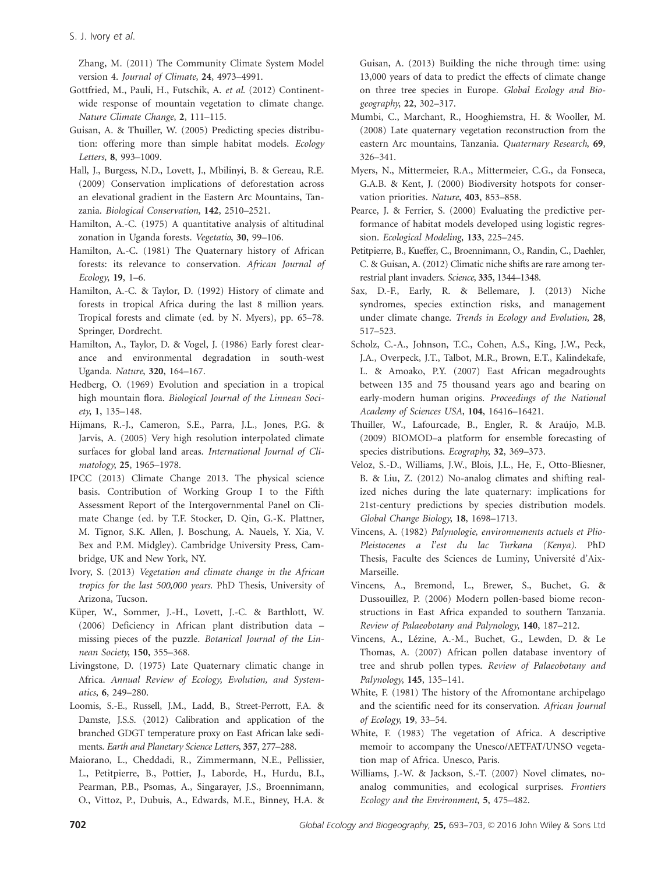Zhang, M. (2011) The Community Climate System Model version 4. Journal of Climate, 24, 4973–4991.

- Gottfried, M., Pauli, H., Futschik, A. et al. (2012) Continentwide response of mountain vegetation to climate change. Nature Climate Change, 2, 111–115.
- Guisan, A. & Thuiller, W. (2005) Predicting species distribution: offering more than simple habitat models. Ecology Letters, 8, 993–1009.
- Hall, J., Burgess, N.D., Lovett, J., Mbilinyi, B. & Gereau, R.E. (2009) Conservation implications of deforestation across an elevational gradient in the Eastern Arc Mountains, Tanzania. Biological Conservation, 142, 2510–2521.
- Hamilton, A.-C. (1975) A quantitative analysis of altitudinal zonation in Uganda forests. Vegetatio, 30, 99–106.
- Hamilton, A.-C. (1981) The Quaternary history of African forests: its relevance to conservation. African Journal of Ecology, 19, 1–6.
- Hamilton, A.-C. & Taylor, D. (1992) History of climate and forests in tropical Africa during the last 8 million years. Tropical forests and climate (ed. by N. Myers), pp. 65–78. Springer, Dordrecht.
- Hamilton, A., Taylor, D. & Vogel, J. (1986) Early forest clearance and environmental degradation in south-west Uganda. Nature, 320, 164–167.
- Hedberg, O. (1969) Evolution and speciation in a tropical high mountain flora. Biological Journal of the Linnean Society, 1, 135–148.
- Hijmans, R.-J., Cameron, S.E., Parra, J.L., Jones, P.G. & Jarvis, A. (2005) Very high resolution interpolated climate surfaces for global land areas. International Journal of Climatology, 25, 1965–1978.
- IPCC (2013) Climate Change 2013. The physical science basis. Contribution of Working Group I to the Fifth Assessment Report of the Intergovernmental Panel on Climate Change (ed. by T.F. Stocker, D. Qin, G.-K. Plattner, M. Tignor, S.K. Allen, J. Boschung, A. Nauels, Y. Xia, V. Bex and P.M. Midgley). Cambridge University Press, Cambridge, UK and New York, NY.
- Ivory, S. (2013) Vegetation and climate change in the African tropics for the last 500,000 years. PhD Thesis, University of Arizona, Tucson.
- Küper, W., Sommer, J.-H., Lovett, J.-C. & Barthlott, W. (2006) Deficiency in African plant distribution data – missing pieces of the puzzle. Botanical Journal of the Linnean Society, 150, 355–368.
- Livingstone, D. (1975) Late Quaternary climatic change in Africa. Annual Review of Ecology, Evolution, and Systematics, 6, 249–280.
- Loomis, S.-E., Russell, J.M., Ladd, B., Street-Perrott, F.A. & Damste, J.S.S. (2012) Calibration and application of the branched GDGT temperature proxy on East African lake sediments. Earth and Planetary Science Letters, 357, 277–288.
- Maiorano, L., Cheddadi, R., Zimmermann, N.E., Pellissier, L., Petitpierre, B., Pottier, J., Laborde, H., Hurdu, B.I., Pearman, P.B., Psomas, A., Singarayer, J.S., Broennimann, O., Vittoz, P., Dubuis, A., Edwards, M.E., Binney, H.A. &

Guisan, A. (2013) Building the niche through time: using 13,000 years of data to predict the effects of climate change on three tree species in Europe. Global Ecology and Biogeography, 22, 302–317.

- Mumbi, C., Marchant, R., Hooghiemstra, H. & Wooller, M. (2008) Late quaternary vegetation reconstruction from the eastern Arc mountains, Tanzania. Quaternary Research, 69, 326–341.
- Myers, N., Mittermeier, R.A., Mittermeier, C.G., da Fonseca, G.A.B. & Kent, J. (2000) Biodiversity hotspots for conservation priorities. Nature, 403, 853–858.
- Pearce, J. & Ferrier, S. (2000) Evaluating the predictive performance of habitat models developed using logistic regression. Ecological Modeling, 133, 225–245.
- Petitpierre, B., Kueffer, C., Broennimann, O., Randin, C., Daehler, C. & Guisan, A. (2012) Climatic niche shifts are rare among terrestrial plant invaders. Science, 335, 1344–1348.
- Sax, D.-F., Early, R. & Bellemare, J. (2013) Niche syndromes, species extinction risks, and management under climate change. Trends in Ecology and Evolution, 28, 517–523.
- Scholz, C.-A., Johnson, T.C., Cohen, A.S., King, J.W., Peck, J.A., Overpeck, J.T., Talbot, M.R., Brown, E.T., Kalindekafe, L. & Amoako, P.Y. (2007) East African megadroughts between 135 and 75 thousand years ago and bearing on early-modern human origins. Proceedings of the National Academy of Sciences USA, 104, 16416–16421.
- Thuiller, W., Lafourcade, B., Engler, R. & Araújo, M.B. (2009) BIOMOD–a platform for ensemble forecasting of species distributions. Ecography, 32, 369–373.
- Veloz, S.-D., Williams, J.W., Blois, J.L., He, F., Otto-Bliesner, B. & Liu, Z. (2012) No-analog climates and shifting realized niches during the late quaternary: implications for 21st-century predictions by species distribution models. Global Change Biology, 18, 1698–1713.
- Vincens, A. (1982) Palynologie, environnements actuels et Plio-Pleistocenes a l'est du lac Turkana (Kenya). PhD Thesis, Faculte des Sciences de Luminy, Université d'Aix-Marseille.
- Vincens, A., Bremond, L., Brewer, S., Buchet, G. & Dussouillez, P. (2006) Modern pollen-based biome reconstructions in East Africa expanded to southern Tanzania. Review of Palaeobotany and Palynology, 140, 187–212.
- Vincens, A., Lézine, A.-M., Buchet, G., Lewden, D. & Le Thomas, A. (2007) African pollen database inventory of tree and shrub pollen types. Review of Palaeobotany and Palynology, 145, 135–141.
- White, F. (1981) The history of the Afromontane archipelago and the scientific need for its conservation. African Journal of Ecology, 19, 33–54.
- White, F. (1983) The vegetation of Africa. A descriptive memoir to accompany the Unesco/AETFAT/UNSO vegetation map of Africa. Unesco, Paris.
- Williams, J.-W. & Jackson, S.-T. (2007) Novel climates, noanalog communities, and ecological surprises. Frontiers Ecology and the Environment, 5, 475–482.